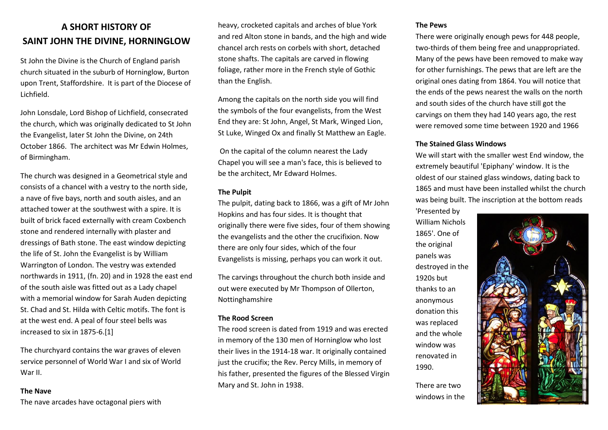## **A SHORT HISTORY OF SAINT JOHN THE DIVINE, HORNINGLOW**

St John the Divine is the [Church of England](http://en.wikipedia.org/wiki/Church_of_England) parish church situated in the suburb of [Horninglow,](http://en.wikipedia.org/wiki/Horninglow) [Burton](http://en.wikipedia.org/wiki/Burton_upon_Trent)  [upon Trent,](http://en.wikipedia.org/wiki/Burton_upon_Trent) Staffordshire. It is part of the [Diocese of](http://en.wikipedia.org/wiki/Diocese_of_Lichfield)  [Lichfield.](http://en.wikipedia.org/wiki/Diocese_of_Lichfield)

John Lonsdale, Lord Bishop of Lichfield, consecrated the church, which was originally dedicated to St John the Evangelist, later St John the Divine, on 24th October 1866. The architect was Mr Edwin Holmes, of Birmingham.

The church was designed in a Geometrical style and consists of a chancel with a vestry to the north side, a nave of five bays, north and south aisles, and an attached tower at the southwest with a spire. It is built of brick faced externally with cream Coxbench stone and rendered internally with plaster and dressings of Bath stone. The east window depicting the life of St. John the Evangelist is by William Warrington of London. The vestry was extended northwards in 1911, (fn. 20) and in 1928 the east end of the south aisle was fitted out as a Lady chapel with a memorial window for Sarah Auden depicting St. Chad and St. Hilda with Celtic motifs. The font is at the west end. A peal of four steel bells was increased to six in 1875-6[.\[1\]](http://en.wikipedia.org/wiki/St_John_the_Divine,_Horninglow#cite_note-1)

The churchyard contains the [war graves](http://en.wikipedia.org/wiki/Commonwealth_War_Graves_Commission) of eleven service personnel of [World War I](http://en.wikipedia.org/wiki/World_War_I) and six of [World](http://en.wikipedia.org/wiki/World_War_II)  [War II.](http://en.wikipedia.org/wiki/World_War_II)

## **The Nave**

The nave arcades have octagonal piers with

heavy, [crocketed](http://en.wikipedia.org/wiki/Crocket) capitals and arches of blue York and red Alton stone in bands, and the high and wide chancel arch rests on corbels with short, detached stone shafts. The capitals are carved in flowing foliage, rather more in the French style of Gothic than the English.

Among the capitals on the north side you will find the symbols of the four evangelists, from the West End they are: St John, Angel, St Mark, Winged Lion, St Luke, Winged Ox and finally St Matthew an Eagle.

On the capital of the column nearest the Lady Chapel you will see a man's face, this is believed to be the architect, Mr Edward Holmes.

#### **The Pulpit**

The pulpit, dating back to 1866, was a gift of Mr John Hopkins and has four sides. It is thought that originally there were five sides, four of them showing the evangelists and the other the crucifixion. Now there are only four sides, which of the four Evangelists is missing, perhaps you can work it out.

The carvings throughout the church both inside and out were executed by Mr Thompson of Ollerton, Nottinghamshire

## **The Rood Screen**

The rood screen is dated from 1919 and was erected in memory of the 130 men of Horninglow who lost their lives in the 1914-18 war. It originally contained just the crucifix; the Rev. Percy Mills, in memory of his father, presented the figures of the Blessed Virgin Mary and St. John in 1938.

#### **The Pews**

There were originally enough pews for 448 people, two-thirds of them being free and unappropriated. Many of the pews have been removed to make way for other furnishings. The pews that are left are the original ones dating from 1864. You will notice that the ends of the pews nearest the walls on the north and south sides of the church have still got the carvings on them they had 140 years ago, the rest were removed some time between 1920 and 1966

## **The Stained Glass Windows**

We will start with the smaller west End window, the extremely beautiful 'Epiphany' window. It is the oldest of our stained glass windows, dating back to 1865 and must have been installed whilst the church was being built. The inscription at the bottom reads

'Presented by William Nichols 1865'. One of the original panels was destroyed in the 1920s but thanks to an anonymous donation this was replaced and the whole window was renovated in 1990.

There are two windows in the